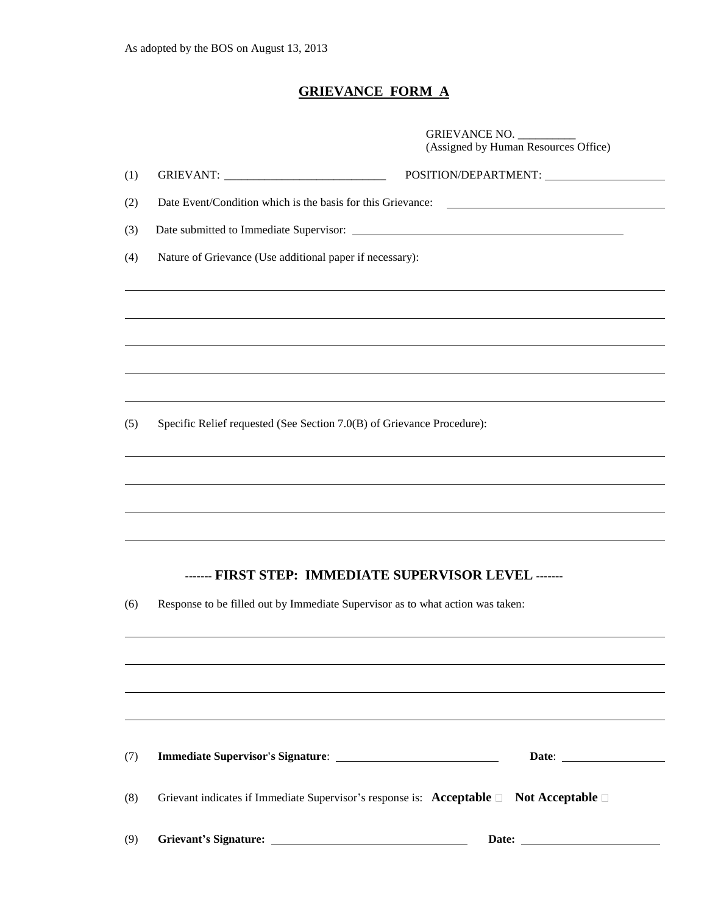## **GRIEVANCE FORM A**

| <b>GRIEVANCE NO.</b>                 |  |
|--------------------------------------|--|
| (Assigned by Human Resources Office) |  |

| (1) |                                                                        | POSITION/DEPARTMENT:                                                                              |  |
|-----|------------------------------------------------------------------------|---------------------------------------------------------------------------------------------------|--|
| (2) | Date Event/Condition which is the basis for this Grievance:            |                                                                                                   |  |
| (3) |                                                                        |                                                                                                   |  |
| (4) | Nature of Grievance (Use additional paper if necessary):               |                                                                                                   |  |
|     |                                                                        |                                                                                                   |  |
|     |                                                                        |                                                                                                   |  |
|     |                                                                        |                                                                                                   |  |
| (5) | Specific Relief requested (See Section 7.0(B) of Grievance Procedure): |                                                                                                   |  |
|     |                                                                        |                                                                                                   |  |
|     |                                                                        |                                                                                                   |  |
|     |                                                                        | ------- FIRST STEP: IMMEDIATE SUPERVISOR LEVEL -------                                            |  |
| (6) |                                                                        | Response to be filled out by Immediate Supervisor as to what action was taken:                    |  |
|     |                                                                        |                                                                                                   |  |
|     |                                                                        |                                                                                                   |  |
|     |                                                                        |                                                                                                   |  |
| (7) |                                                                        |                                                                                                   |  |
| (8) |                                                                        | Grievant indicates if Immediate Supervisor's response is: <b>Acceptable</b> □<br>Not Acceptable □ |  |
| (9) |                                                                        | Date: $\qquad \qquad$                                                                             |  |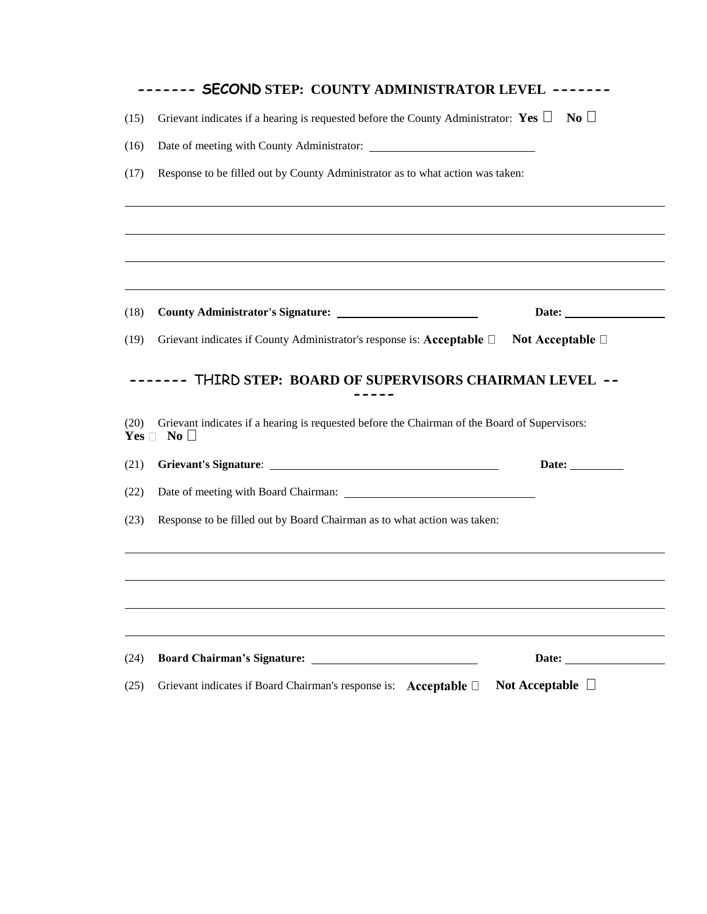| (15)                 | Grievant indicates if a hearing is requested before the County Administrator: Yes $\Box$      | $\overline{N_0}$      |
|----------------------|-----------------------------------------------------------------------------------------------|-----------------------|
| (16)                 |                                                                                               |                       |
| (17)                 | Response to be filled out by County Administrator as to what action was taken:                |                       |
|                      |                                                                                               |                       |
|                      |                                                                                               |                       |
|                      |                                                                                               |                       |
| (18)                 |                                                                                               |                       |
| (19)                 | Grievant indicates if County Administrator's response is: <b>Acceptable</b> $\Box$            | Not Acceptable $\Box$ |
| (20)<br>$Yes \Box$   | Grievant indicates if a hearing is requested before the Chairman of the Board of Supervisors: |                       |
|                      | $\mathbf{N}\mathbf{o}$ $\square$                                                              |                       |
|                      |                                                                                               |                       |
|                      |                                                                                               |                       |
|                      | Response to be filled out by Board Chairman as to what action was taken:                      |                       |
|                      |                                                                                               |                       |
|                      |                                                                                               |                       |
| (21)<br>(22)<br>(23) |                                                                                               |                       |
| (24)                 | <b>Board Chairman's Signature:</b>                                                            | Date: $\qquad \qquad$ |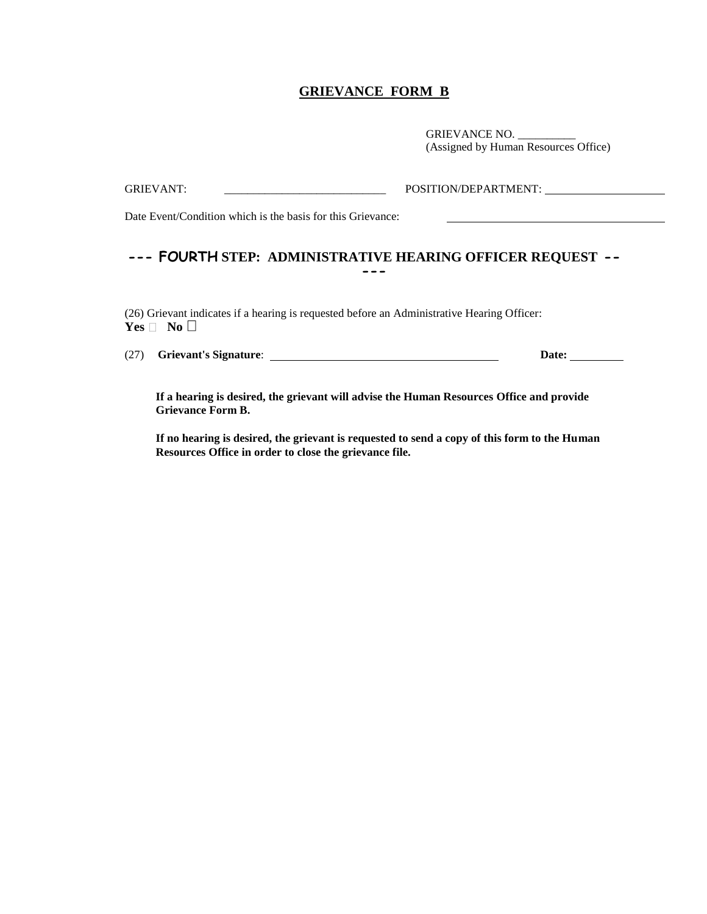#### **GRIEVANCE FORM B**

GRIEVANCE NO. \_\_\_\_\_\_\_\_\_\_ (Assigned by Human Resources Office)

| <b>GRIEVANT:</b>                                                                                                     | POSITION/DEPARTMENT: |  |  |  |
|----------------------------------------------------------------------------------------------------------------------|----------------------|--|--|--|
| Date Event/Condition which is the basis for this Grievance:                                                          |                      |  |  |  |
| --- FOURTH STEP: ADMINISTRATIVE HEARING OFFICER REQUEST --                                                           |                      |  |  |  |
| (26) Grievant indicates if a hearing is requested before an Administrative Hearing Officer:<br>$Yes \Box No \Box$    |                      |  |  |  |
| Grievant's Signature:<br>(27)                                                                                        | Date:                |  |  |  |
| If a hearing is desired, the grievant will advise the Human Resources Office and provide<br><b>Grievance Form B.</b> |                      |  |  |  |

**If no hearing is desired, the grievant is requested to send a copy of this form to the Human Resources Office in order to close the grievance file.**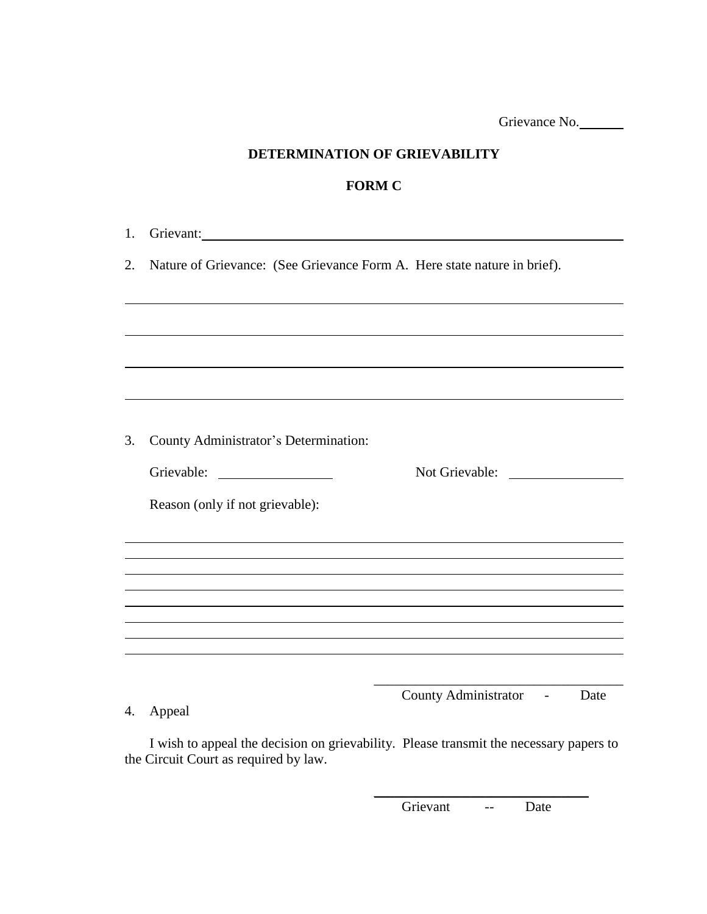Grievance No.

| <b>DETERMINATION OF GRIEVABILITY</b> |  |
|--------------------------------------|--|
|--------------------------------------|--|

## **FORM C**

| 1. | Grievant:                                                                                                                       |                                |
|----|---------------------------------------------------------------------------------------------------------------------------------|--------------------------------|
| 2. | Nature of Grievance: (See Grievance Form A. Here state nature in brief).                                                        |                                |
|    |                                                                                                                                 |                                |
|    |                                                                                                                                 |                                |
|    |                                                                                                                                 |                                |
| 3. | County Administrator's Determination:                                                                                           |                                |
|    |                                                                                                                                 | Not Grievable:                 |
|    | Reason (only if not grievable):                                                                                                 |                                |
|    |                                                                                                                                 |                                |
|    |                                                                                                                                 |                                |
|    |                                                                                                                                 |                                |
|    |                                                                                                                                 |                                |
|    | 4. Appeal                                                                                                                       | County Administrator -<br>Date |
|    | I wish to appeal the decision on grievability. Please transmit the necessary papers to<br>the Circuit Court as required by law. |                                |

\_\_\_\_\_\_\_\_\_\_\_\_\_\_\_\_\_\_\_\_\_\_\_\_\_\_\_\_\_\_\_ Grievant -- Date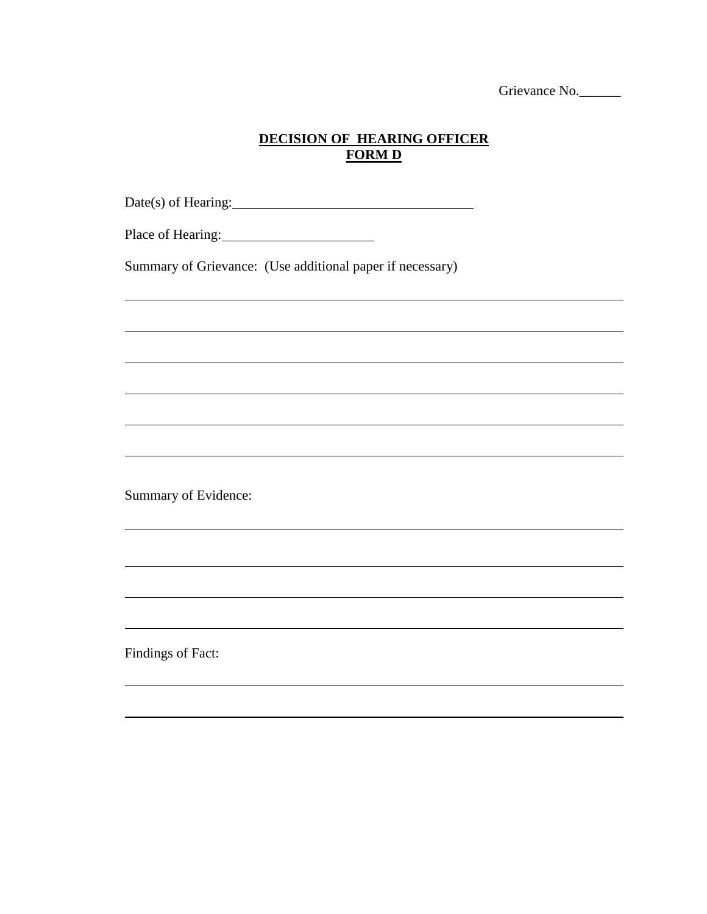Grievance No.

#### **DECISION OF HEARING OFFICER FORM D**

Date(s) of Hearing:

Place of Hearing: No. 1996. The Second Second Second Second Second Second Second Second Second Second Second Second Second Second Second Second Second Second Second Second Second Second Second Second Second Second Second S

Summary of Grievance: (Use additional paper if necessary)

Summary of Evidence:

Findings of Fact: